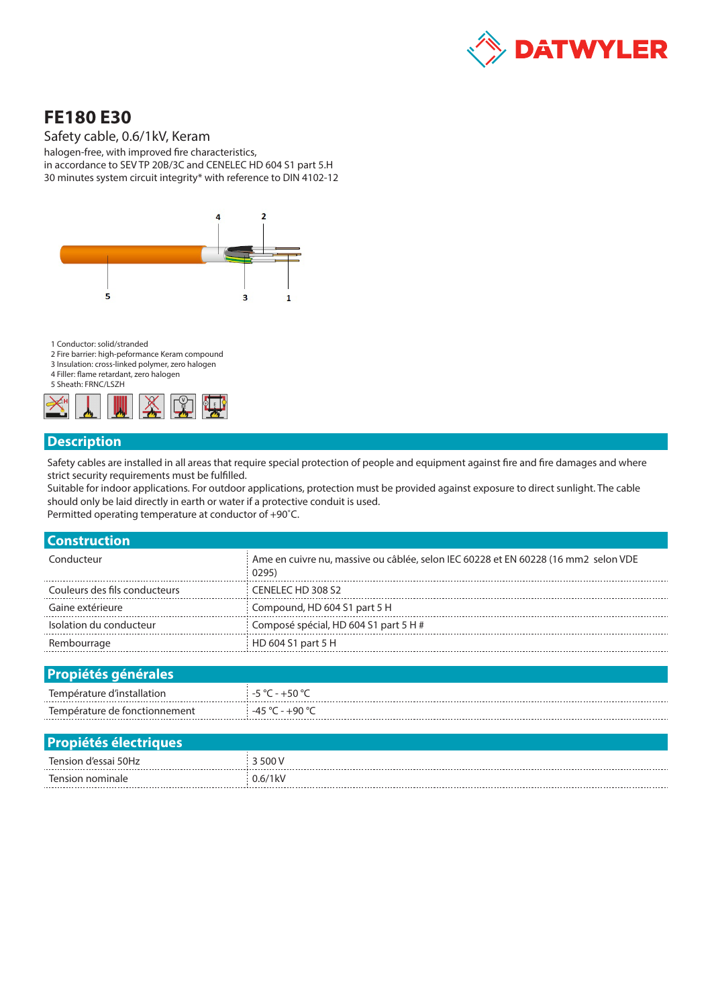

# **FE180 E30**

Safety cable, 0.6/1kV, Keram

halogen-free, with improved fire characteristics, in accordance to SEV TP 20B/3C and CENELEC HD 604 S1 part 5.H 30 minutes system circuit integrity\* with reference to DIN 4102-12



1 Conductor: solid/stranded

- 2 Fire barrier: high-peformance Keram compound
- 3 Insulation: cross-linked polymer, zero halogen 4 Filler: flame retardant, zero halogen

5 Sheath: FRNC/LSZH



#### **Description**

Safety cables are installed in all areas that require special protection of people and equipment against fire and fire damages and where strict security requirements must be fulfilled.

Suitable for indoor applications. For outdoor applications, protection must be provided against exposure to direct sunlight. The cable should only be laid directly in earth or water if a protective conduit is used. Permitted operating temperature at conductor of +90˚C.

| <b>Construction</b>           |                                                                                              |
|-------------------------------|----------------------------------------------------------------------------------------------|
| Conducteur                    | Ame en cuivre nu, massive ou câblée, selon IEC 60228 et EN 60228 (16 mm2 selon VDE<br>(0295) |
| Couleurs des fils conducteurs | CENELEC HD 308 S2                                                                            |
| Gaine extérieure              | Compound, HD 604 S1 part 5 H                                                                 |
| Isolation du conducteur       | Composé spécial, HD 604 S1 part 5 H #                                                        |
| Rembourrage                   | HD 604 S1 part 5 H                                                                           |
|                               |                                                                                              |

| <b>Propiétés générales</b>    |                                                   |
|-------------------------------|---------------------------------------------------|
| Température d'installation    | $-5$ °C - $+50$ °C                                |
| Température de fonctionnement | $-45\,^{\circ}\text{C}$ - $+90\,^{\circ}\text{C}$ |

| <b>Propiétés électriques</b> |                        |
|------------------------------|------------------------|
| Tension d'essai 50Hz         | 500 V                  |
| Tension nominale             | $0.6/1$ <sub>k</sub> V |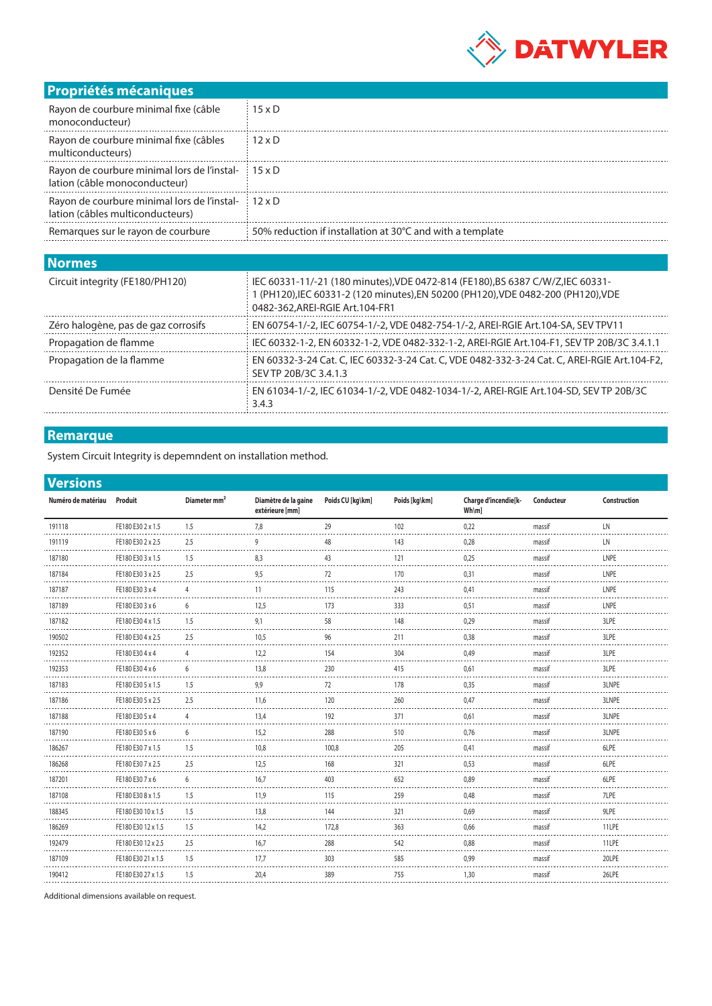

## **Propriétés mécaniques**

| <u>I IUPITELES INECANIQUES</u>                                                                                                                                                                                                         |                                                                                   |  |  |  |  |  |
|----------------------------------------------------------------------------------------------------------------------------------------------------------------------------------------------------------------------------------------|-----------------------------------------------------------------------------------|--|--|--|--|--|
| Rayon de courbure minimal fixe (câble<br>monoconducteur)                                                                                                                                                                               | $15 \times D$                                                                     |  |  |  |  |  |
| Rayon de courbure minimal fixe (câbles<br>multiconducteurs)                                                                                                                                                                            | $12 \times D$                                                                     |  |  |  |  |  |
| Rayon de courbure minimal lors de l'instal-<br>lation (câble monoconducteur)                                                                                                                                                           | $15 \times D$                                                                     |  |  |  |  |  |
| Rayon de courbure minimal lors de l'instal-<br>lation (câbles multiconducteurs)                                                                                                                                                        | $12 \times D$                                                                     |  |  |  |  |  |
| Remarques sur le rayon de courbure                                                                                                                                                                                                     | 50% reduction if installation at 30°C and with a template                         |  |  |  |  |  |
| <b>Normes</b>                                                                                                                                                                                                                          |                                                                                   |  |  |  |  |  |
| IEC 60331-11/-21 (180 minutes).VDE 0472-814 (FE180).BS 6387 C/W/Z.IEC 60331-<br>Circuit integrity (FE180/PH120)<br>1 (PH120). IEC 60331-2 (120 minutes). EN 50200 (PH120). VDE 0482-200 (PH120). VDE<br>0482-362.AREI-RGIE Art.104-FR1 |                                                                                   |  |  |  |  |  |
| Zéro halogène, pas de gaz corrosifs                                                                                                                                                                                                    | EN 60754-1/-2. IEC 60754-1/-2, VDE 0482-754-1/-2, AREI-RGIE Art.104-SA, SEV TPV11 |  |  |  |  |  |

Zéro halogène, pas de gaz corrosifs EN 60754-1/-2, IEC 60754-1/-2, VDE 0482-754-1/-2, AREI-RGIE Art.104-SA, SEV TPV11 Propagation de flamme IEC 60332-1-2, EN 60332-1-2, VDE 0482-332-1-2, AREI-RGIE Art.104-F1, SEV TP 20B/3C 3.4.1.1 Propagation de la flamme EN 60332-3-24 Cat. C, IEC 60332-3-24 Cat. C, VDE 0482-332-3-24 Cat. C, AREI-RGIE Art.104-F2, SEV TP 20B/3C 3.4.1.3 Densité De Fumée EN 61034-1/-2, IEC 61034-1/-2, VDE 0482-1034-1/-2, AREI-RGIE Art.104-SD, SEV TP 20B/3C 3.4.3

### **Remarque**

......................................

System Circuit Integrity is depemndent on installation method.

#### **Versions**

| Numéro de matériau Produit |                    | Diameter mm <sup>2</sup> | Diamètre de la gaine<br>extérieure [mm] | Poids CU [kg\km] | Poids [kg\km] | Charge d'incendie[k-<br>$Wh\m$ ] | Conducteur | Construction |
|----------------------------|--------------------|--------------------------|-----------------------------------------|------------------|---------------|----------------------------------|------------|--------------|
| 191118                     | FE180 E30 2 x 1.5  | 1.5                      | 7,8                                     | 29               | 102           | 0,22                             | massif     | LN           |
| 191119                     | FE180 E30 2 x 2.5  | 2.5                      | 9                                       | 48<br>المحادث    | 143           | 0,28                             | massif     | LN           |
| 187180                     | FE180 E30 3 x 1.5  | 1.5                      | 8.3                                     | 43               | 121           | 0,25                             | massif     | LNPE         |
| 187184                     | FE180 E30 3 x 2.5  | 2.5                      | 9,5                                     | 72               | 170           | 0,31                             | massif     | LNPE         |
| 187187                     | FE180 E30 3 x 4    |                          | 11                                      | 115              | 243           | 0.41                             | massif     | LNPE         |
| 187189                     | FE180 E30 3 x 6    | 6                        | 12,5                                    | 173              | 333           | 0,51                             | massif     | LNPE         |
| 187182                     | FE180 E30 4 x 1.5  | 1.5                      | 9,1                                     | 58               | 148           | 0,29                             | massif     | 3LPE         |
| 190502                     | FE180 E30 4 x 2.5  | 2.5                      | 10,5                                    | 96               | 211           | 0,38                             | massif     | 3LPE         |
| 192352                     | FE180 E30 4 x 4    |                          | 12,2                                    | 154              | 304           | 0,49                             | massif     | 3LPE         |
| 192353                     | FE180 E30 4 x 6    | 6                        | 13,8                                    | 230              | 415           | 0,61                             | massif     | 3LPE         |
| 187183                     | FE180 E30 5 x 1.5  | 1.5                      | 9,9                                     | 72               | 178           | 0,35                             | massif     | 3LNPE        |
| 187186                     | FE180 E30 5 x 2.5  | 2.5                      | 11,6                                    | 120              | 260           | 0,47                             | massif     | 3LNPE        |
| 187188                     | FE180 E30 5 x 4    |                          | 13,4                                    | 192              | 371           | 0,61                             | massif     | 3LNPE        |
| 187190                     | FE180 E30 5 x 6    | 6                        | 15,2                                    | 288              | 510           | 0.76                             | massif     | 3LNPE        |
| 186267                     | FE180 E30 7 x 1.5  | 1.5                      | 10,8                                    | 100,8            | 205           | 0.41                             | massif     | 6LPE         |
| 186268                     | FE180 E30 7 x 2.5  | 2.5                      | 12,5                                    | 168              | 321           | 0,53                             | massif     | 6LPE         |
| 187201                     | FE180 E30 7 x 6    | 6                        | 16,7                                    | 403              | 652           | 0.89                             | massif     | 6LPE         |
| 187108                     | FE180 E30 8 x 1.5  | 1.5                      | 11,9                                    | 115              | 259           | 0.48                             | massif     | 7LPE         |
| 188345                     | FE180 E30 10 x 1.5 | 1.5                      | 13,8                                    | 144              | 321           | 0.69                             | massif     | 9LPE         |
| 186269                     | FE180 E30 12 x 1.5 | 1.5                      | 14,2                                    | 172,8            | 363           | 0.66                             | massif     | 11LPE        |
| 192479                     | FE180 E30 12 x 2.5 | 2.5                      | 16,7                                    | 288              | 542           | 0,88                             | massif     | 11LPE        |
| 187109                     | FE180 E30 21 x 1.5 | 1.5                      | 17,7                                    | 303              | 585           | 0,99                             | massif     | 20LPE        |
| 190412                     | FE180 E30 27 x 1.5 | 1.5                      | 20,4                                    | 389              | 755           | 1,30                             | massif     | 26LPE        |

Additional dimensions available on request.